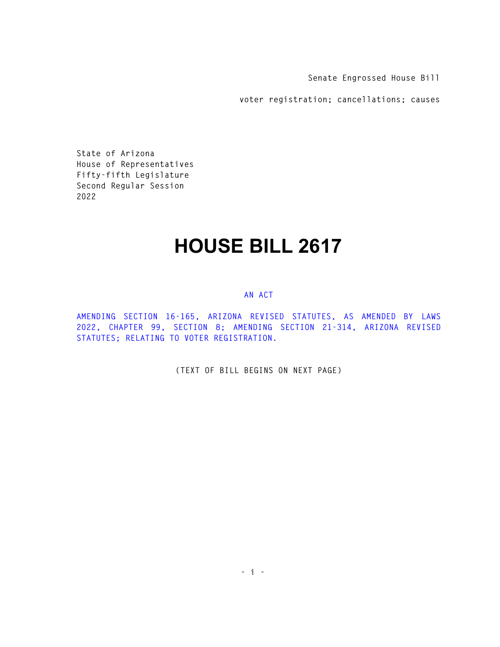**Senate Engrossed House Bill** 

**voter registration; cancellations; causes** 

**State of Arizona House of Representatives Fifty-fifth Legislature Second Regular Session 2022** 

## **HOUSE BILL 2617**

## **AN ACT**

**AMENDING SECTION 16-165, ARIZONA REVISED STATUTES, AS AMENDED BY LAWS 2022, CHAPTER 99, SECTION 8; AMENDING SECTION 21-314, ARIZONA REVISED STATUTES; RELATING TO VOTER REGISTRATION.** 

**(TEXT OF BILL BEGINS ON NEXT PAGE)**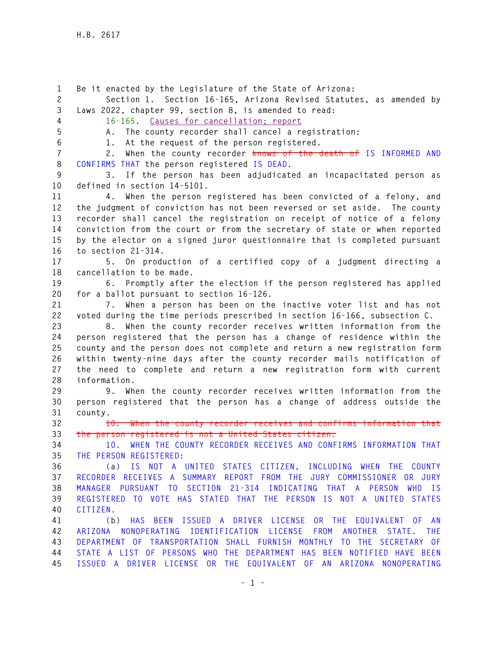**1 Be it enacted by the Legislature of the State of Arizona: 2 Section 1. Section 16-165, Arizona Revised Statutes, as amended by 3 Laws 2022, chapter 99, section 8, is amended to read: 4 16-165. Causes for cancellation; report 5 A. The county recorder shall cancel a registration: 6 1. At the request of the person registered. 7 2. When the county recorder knows of the death of IS INFORMED AND 8 CONFIRMS THAT the person registered IS DEAD. 9 3. If the person has been adjudicated an incapacitated person as 10 defined in section 14-5101. 11 4. When the person registered has been convicted of a felony, and 12 the judgment of conviction has not been reversed or set aside. The county 13 recorder shall cancel the registration on receipt of notice of a felony 14 conviction from the court or from the secretary of state or when reported 15 by the elector on a signed juror questionnaire that is completed pursuant 16 to section 21-314. 17 5. On production of a certified copy of a judgment directing a 18 cancellation to be made. 19 6. Promptly after the election if the person registered has applied 20 for a ballot pursuant to section 16-126. 21 7. When a person has been on the inactive voter list and has not 22 voted during the time periods prescribed in section 16-166, subsection C. 23 8. When the county recorder receives written information from the 24 person registered that the person has a change of residence within the 25 county and the person does not complete and return a new registration form 26 within twenty-nine days after the county recorder mails notification of 27 the need to complete and return a new registration form with current 28 information. 29 9. When the county recorder receives written information from the 30 person registered that the person has a change of address outside the 31 county. 32 10. When the county recorder receives and confirms information that 33 the person registered is not a United States citizen. 34 10. WHEN THE COUNTY RECORDER RECEIVES AND CONFIRMS INFORMATION THAT 35 THE PERSON REGISTERED: 36 (a) IS NOT A UNITED STATES CITIZEN, INCLUDING WHEN THE COUNTY 37 RECORDER RECEIVES A SUMMARY REPORT FROM THE JURY COMMISSIONER OR JURY 38 MANAGER PURSUANT TO SECTION 21-314 INDICATING THAT A PERSON WHO IS 39 REGISTERED TO VOTE HAS STATED THAT THE PERSON IS NOT A UNITED STATES 40 CITIZEN. 41 (b) HAS BEEN ISSUED A DRIVER LICENSE OR THE EQUIVALENT OF AN 42 ARIZONA NONOPERATING IDENTIFICATION LICENSE FROM ANOTHER STATE. THE 43 DEPARTMENT OF TRANSPORTATION SHALL FURNISH MONTHLY TO THE SECRETARY OF 44 STATE A LIST OF PERSONS WHO THE DEPARTMENT HAS BEEN NOTIFIED HAVE BEEN 45 ISSUED A DRIVER LICENSE OR THE EQUIVALENT OF AN ARIZONA NONOPERATING**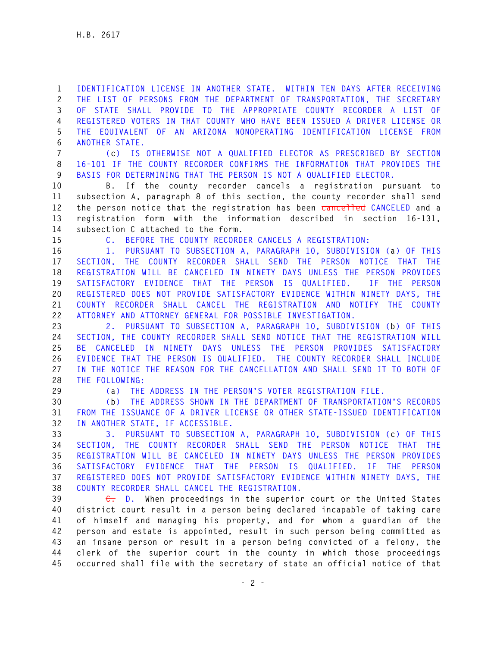**1 IDENTIFICATION LICENSE IN ANOTHER STATE. WITHIN TEN DAYS AFTER RECEIVING 2 THE LIST OF PERSONS FROM THE DEPARTMENT OF TRANSPORTATION, THE SECRETARY 3 OF STATE SHALL PROVIDE TO THE APPROPRIATE COUNTY RECORDER A LIST OF 4 REGISTERED VOTERS IN THAT COUNTY WHO HAVE BEEN ISSUED A DRIVER LICENSE OR 5 THE EQUIVALENT OF AN ARIZONA NONOPERATING IDENTIFICATION LICENSE FROM 6 ANOTHER STATE.** 

**7 (c) IS OTHERWISE NOT A QUALIFIED ELECTOR AS PRESCRIBED BY SECTION 8 16-101 IF THE COUNTY RECORDER CONFIRMS THE INFORMATION THAT PROVIDES THE 9 BASIS FOR DETERMINING THAT THE PERSON IS NOT A QUALIFIED ELECTOR.** 

**10 B. If the county recorder cancels a registration pursuant to 11 subsection A, paragraph 8 of this section, the county recorder shall send 12 the person notice that the registration has been cancelled CANCELED and a 13 registration form with the information described in section 16-131, 14 subsection C attached to the form.** 

**15 C. BEFORE THE COUNTY RECORDER CANCELS A REGISTRATION:** 

**16 1. PURSUANT TO SUBSECTION A, PARAGRAPH 10, SUBDIVISION (a) OF THIS 17 SECTION, THE COUNTY RECORDER SHALL SEND THE PERSON NOTICE THAT THE 18 REGISTRATION WILL BE CANCELED IN NINETY DAYS UNLESS THE PERSON PROVIDES 19 SATISFACTORY EVIDENCE THAT THE PERSON IS QUALIFIED. IF THE PERSON 20 REGISTERED DOES NOT PROVIDE SATISFACTORY EVIDENCE WITHIN NINETY DAYS, THE 21 COUNTY RECORDER SHALL CANCEL THE REGISTRATION AND NOTIFY THE COUNTY 22 ATTORNEY AND ATTORNEY GENERAL FOR POSSIBLE INVESTIGATION.** 

**23 2. PURSUANT TO SUBSECTION A, PARAGRAPH 10, SUBDIVISION (b) OF THIS 24 SECTION, THE COUNTY RECORDER SHALL SEND NOTICE THAT THE REGISTRATION WILL 25 BE CANCELED IN NINETY DAYS UNLESS THE PERSON PROVIDES SATISFACTORY 26 EVIDENCE THAT THE PERSON IS QUALIFIED. THE COUNTY RECORDER SHALL INCLUDE 27 IN THE NOTICE THE REASON FOR THE CANCELLATION AND SHALL SEND IT TO BOTH OF 28 THE FOLLOWING:** 

**29 (a) THE ADDRESS IN THE PERSON'S VOTER REGISTRATION FILE.** 

**30 (b) THE ADDRESS SHOWN IN THE DEPARTMENT OF TRANSPORTATION'S RECORDS 31 FROM THE ISSUANCE OF A DRIVER LICENSE OR OTHER STATE-ISSUED IDENTIFICATION 32 IN ANOTHER STATE, IF ACCESSIBLE.** 

**33 3. PURSUANT TO SUBSECTION A, PARAGRAPH 10, SUBDIVISION (c) OF THIS 34 SECTION, THE COUNTY RECORDER SHALL SEND THE PERSON NOTICE THAT THE 35 REGISTRATION WILL BE CANCELED IN NINETY DAYS UNLESS THE PERSON PROVIDES 36 SATISFACTORY EVIDENCE THAT THE PERSON IS QUALIFIED. IF THE PERSON 37 REGISTERED DOES NOT PROVIDE SATISFACTORY EVIDENCE WITHIN NINETY DAYS, THE 38 COUNTY RECORDER SHALL CANCEL THE REGISTRATION.** 

**39 C. D. When proceedings in the superior court or the United States 40 district court result in a person being declared incapable of taking care 41 of himself and managing his property, and for whom a guardian of the 42 person and estate is appointed, result in such person being committed as 43 an insane person or result in a person being convicted of a felony, the 44 clerk of the superior court in the county in which those proceedings 45 occurred shall file with the secretary of state an official notice of that**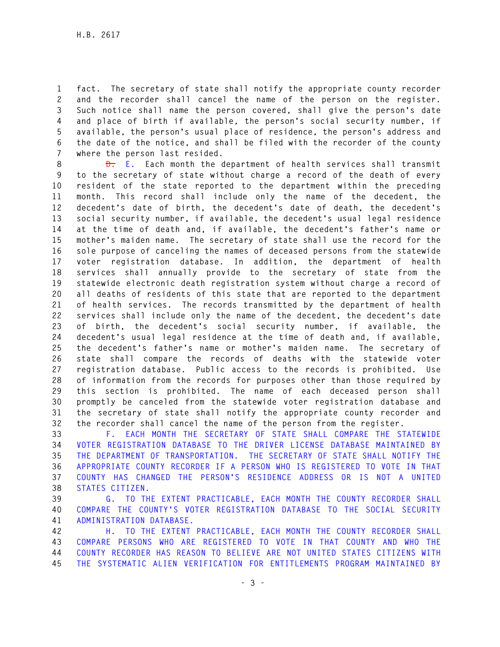**1 fact. The secretary of state shall notify the appropriate county recorder 2 and the recorder shall cancel the name of the person on the register. 3 Such notice shall name the person covered, shall give the person's date 4 and place of birth if available, the person's social security number, if 5 available, the person's usual place of residence, the person's address and 6 the date of the notice, and shall be filed with the recorder of the county 7 where the person last resided.** 

**8 D. E. Each month the department of health services shall transmit 9 to the secretary of state without charge a record of the death of every 10 resident of the state reported to the department within the preceding 11 month. This record shall include only the name of the decedent, the 12 decedent's date of birth, the decedent's date of death, the decedent's 13 social security number, if available, the decedent's usual legal residence 14 at the time of death and, if available, the decedent's father's name or 15 mother's maiden name. The secretary of state shall use the record for the 16 sole purpose of canceling the names of deceased persons from the statewide 17 voter registration database. In addition, the department of health 18 services shall annually provide to the secretary of state from the 19 statewide electronic death registration system without charge a record of 20 all deaths of residents of this state that are reported to the department 21 of health services. The records transmitted by the department of health 22 services shall include only the name of the decedent, the decedent's date 23 of birth, the decedent's social security number, if available, the 24 decedent's usual legal residence at the time of death and, if available, 25 the decedent's father's name or mother's maiden name. The secretary of 26 state shall compare the records of deaths with the statewide voter 27 registration database. Public access to the records is prohibited. Use 28 of information from the records for purposes other than those required by 29 this section is prohibited. The name of each deceased person shall 30 promptly be canceled from the statewide voter registration database and 31 the secretary of state shall notify the appropriate county recorder and 32 the recorder shall cancel the name of the person from the register.** 

**33 F. EACH MONTH THE SECRETARY OF STATE SHALL COMPARE THE STATEWIDE 34 VOTER REGISTRATION DATABASE TO THE DRIVER LICENSE DATABASE MAINTAINED BY 35 THE DEPARTMENT OF TRANSPORTATION. THE SECRETARY OF STATE SHALL NOTIFY THE 36 APPROPRIATE COUNTY RECORDER IF A PERSON WHO IS REGISTERED TO VOTE IN THAT 37 COUNTY HAS CHANGED THE PERSON'S RESIDENCE ADDRESS OR IS NOT A UNITED 38 STATES CITIZEN.** 

**39 G. TO THE EXTENT PRACTICABLE, EACH MONTH THE COUNTY RECORDER SHALL 40 COMPARE THE COUNTY'S VOTER REGISTRATION DATABASE TO THE SOCIAL SECURITY 41 ADMINISTRATION DATABASE.** 

**42 H. TO THE EXTENT PRACTICABLE, EACH MONTH THE COUNTY RECORDER SHALL 43 COMPARE PERSONS WHO ARE REGISTERED TO VOTE IN THAT COUNTY AND WHO THE 44 COUNTY RECORDER HAS REASON TO BELIEVE ARE NOT UNITED STATES CITIZENS WITH 45 THE SYSTEMATIC ALIEN VERIFICATION FOR ENTITLEMENTS PROGRAM MAINTAINED BY**